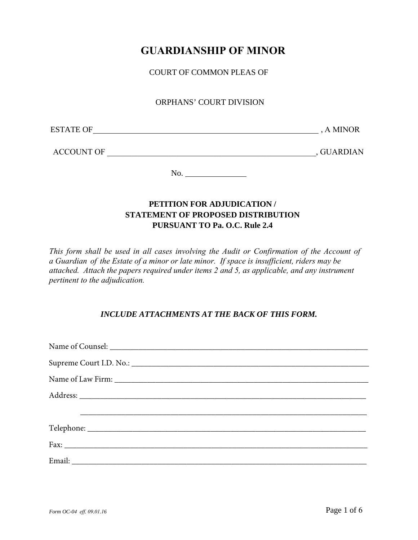# **GUARDIANSHIP OF MINOR**

COURT OF COMMON PLEAS OF

## ORPHANS' COURT DIVISION

| <b>ESTATE OF</b> | . MINO <sup><math>\Gamma</math></sup><br>$\Delta$<br>$\mathbf{v}$ |
|------------------|-------------------------------------------------------------------|
|------------------|-------------------------------------------------------------------|

ACCOUNT OF \_\_\_\_\_\_\_\_\_\_\_\_\_\_\_\_\_\_\_\_\_\_\_\_\_\_\_\_\_\_\_\_\_\_\_\_\_\_\_\_\_\_\_\_\_\_\_\_\_\_\_, GUARDIAN

No.

## **PETITION FOR ADJUDICATION / STATEMENT OF PROPOSED DISTRIBUTION PURSUANT TO Pa. O.C. Rule 2.4**

*This form shall be used in all cases involving the Audit or Confirmation of the Account of a Guardian of the Estate of a minor or late minor. If space is insufficient, riders may be attached. Attach the papers required under items 2 and 5, as applicable, and any instrument pertinent to the adjudication.*

## *INCLUDE ATTACHMENTS AT THE BACK OF THIS FORM.*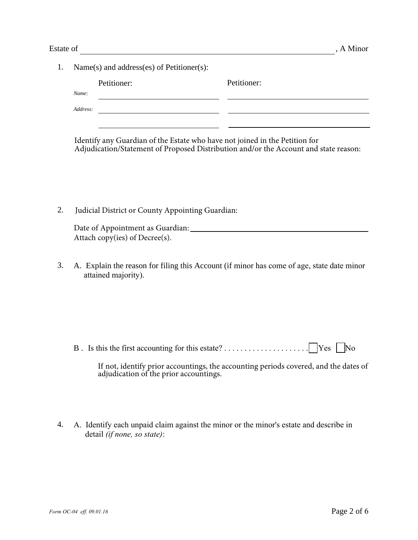1. Name(s) and address(es) of Petitioner(s): Petitioner: Petitioner: *Name:* 

*Address:* <u> 2000 - Jan Samuel Barbara, poeta establecea establecea establecea establecea establecea establecea establecea</u>

Identify any Guardian of the Estate who have not joined in the Petition for Adjudication/Statement of Proposed Distribution and/or the Account and state reason:

2. Judicial District or County Appointing Guardian: \_\_\_\_\_\_\_\_\_\_\_\_\_\_\_\_\_\_\_\_\_\_\_\_\_

| Date of Appointment as Guardian: |  |
|----------------------------------|--|
| Attach copy(ies) of Decree(s).   |  |

3. A. Explain the reason for filing this Account (if minor has come of age, state date minor attained majority).

B . Is this the first accounting for this estate? . . . . . . . . . . . . . . . . . . . . . Yes No

| If not, identify prior accountings, the accounting periods covered, and the dates of |  |  |  |
|--------------------------------------------------------------------------------------|--|--|--|
| adjudication of the prior accountings.                                               |  |  |  |

4. A. Identify each unpaid claim against the minor or the minor's estate and describe in detail *(if none, so state)*: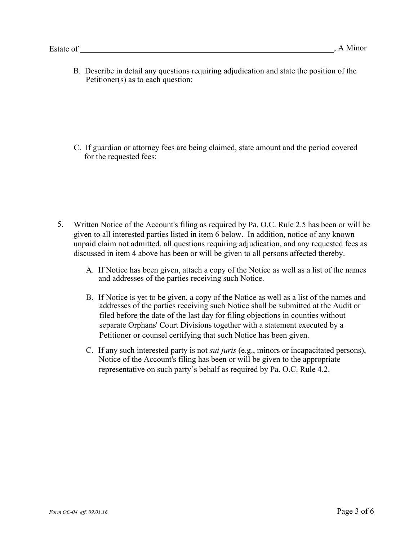B. Describe in detail any questions requiring adjudication and state the position of the Petitioner(s) as to each question:

C. If guardian or attorney fees are being claimed, state amount and the period covered for the requested fees:

- 5. Written Notice of the Account's filing as required by Pa. O.C. Rule 2.5 has been or will be given to all interested parties listed in item 6 below. In addition, notice of any known unpaid claim not admitted, all questions requiring adjudication, and any requested fees as discussed in item 4 above has been or will be given to all persons affected thereby.
	- A. If Notice has been given, attach a copy of the Notice as well as a list of the names and addresses of the parties receiving such Notice.
	- B. If Notice is yet to be given, a copy of the Notice as well as a list of the names and addresses of the parties receiving such Notice shall be submitted at the Audit or filed before the date of the last day for filing objections in counties without separate Orphans' Court Divisions together with a statement executed by a Petitioner or counsel certifying that such Notice has been given.
	- C. If any such interested party is not *sui juris* (e.g., minors or incapacitated persons), Notice of the Account's filing has been or will be given to the appropriate representative on such party's behalf as required by Pa. O.C. Rule 4.2.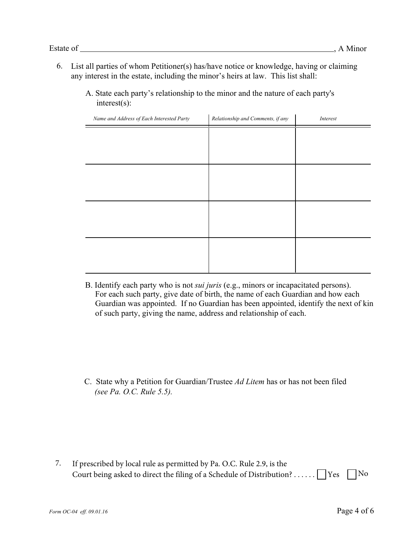- List all parties of whom Petitioner(s) has/have notice or knowledge, having or claiming 6. any interest in the estate, including the minor's heirs at law. This list shall:
	- A. State each party's relationship to the minor and the nature of each party's interest(s):

| Name and Address of Each Interested Party | Relationship and Comments, if any | Interest |
|-------------------------------------------|-----------------------------------|----------|
|                                           |                                   |          |
|                                           |                                   |          |
|                                           |                                   |          |
|                                           |                                   |          |
|                                           |                                   |          |
|                                           |                                   |          |
|                                           |                                   |          |
|                                           |                                   |          |
|                                           |                                   |          |
|                                           |                                   |          |
|                                           |                                   |          |
|                                           |                                   |          |

B. Identify each party who is not *sui juris* (e.g., minors or incapacitated persons). For each such party, give date of birth, the name of each Guardian and how each Guardian was appointed. If no Guardian has been appointed, identify the next of kin of such party, giving the name, address and relationship of each.

C. State why a Petition for Guardian/Trustee *Ad Litem* has or has not been filed *(see Pa. O.C. Rule 5.5).*

7. If prescribed by local rule as permitted by Pa. O.C. Rule 2.9, is the Court being asked to direct the filing of a Schedule of Distribution? . . . . . .  $\Box$  Yes  $\Box$  No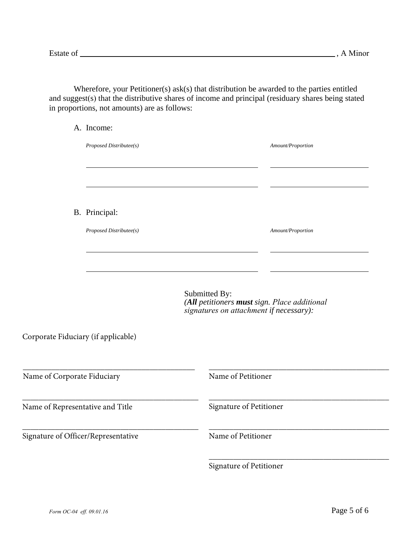Wherefore, your Petitioner(s) ask(s) that distribution be awarded to the parties entitled and suggest(s) that the distributive shares of income and principal (residuary shares being stated in proportions, not amounts) are as follows:

|                                     | A. Income:              |                                                                                                          |
|-------------------------------------|-------------------------|----------------------------------------------------------------------------------------------------------|
|                                     | Proposed Distributee(s) | Amount/Proportion                                                                                        |
|                                     |                         |                                                                                                          |
|                                     | B. Principal:           |                                                                                                          |
|                                     | Proposed Distributee(s) | Amount/Proportion                                                                                        |
|                                     |                         |                                                                                                          |
|                                     |                         |                                                                                                          |
|                                     |                         | Submitted By:<br>(All petitioners must sign. Place additional<br>signatures on attachment if necessary): |
| Corporate Fiduciary (if applicable) |                         |                                                                                                          |
| Name of Corporate Fiduciary         |                         | Name of Petitioner                                                                                       |
|                                     |                         |                                                                                                          |
| Name of Representative and Title    |                         | Signature of Petitioner                                                                                  |
| Signature of Officer/Representative |                         | Name of Petitioner                                                                                       |
|                                     |                         |                                                                                                          |

Signature of Petitioner